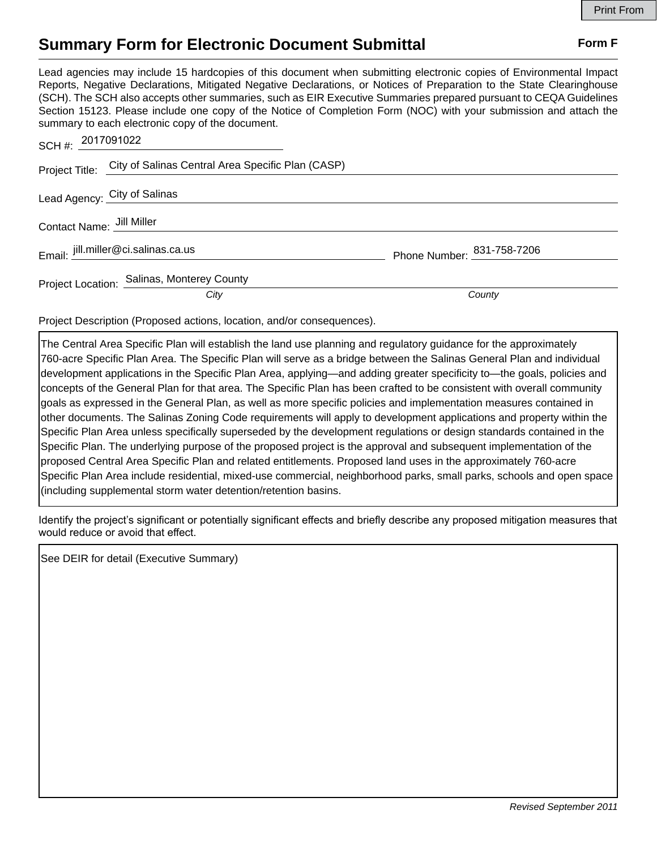## **Summary Form for Electronic Document Submittal Form F Form F**

Lead agencies may include 15 hardcopies of this document when submitting electronic copies of Environmental Impact Reports, Negative Declarations, Mitigated Negative Declarations, or Notices of Preparation to the State Clearinghouse (SCH). The SCH also accepts other summaries, such as EIR Executive Summaries prepared pursuant to CEQA Guidelines Section 15123. Please include one copy of the Notice of Completion Form (NOC) with your submission and attach the summary to each electronic copy of the document.

| SCH #: 2017091022 |                                                                  |                            |
|-------------------|------------------------------------------------------------------|----------------------------|
|                   | Project Title: City of Salinas Central Area Specific Plan (CASP) |                            |
|                   | Lead Agency: City of Salinas                                     |                            |
|                   | Contact Name: Jill Miller                                        |                            |
|                   | Email: jill.miller@ci.salinas.ca.us                              | Phone Number: 831-758-7206 |
|                   | Project Location: Salinas, Monterey County                       |                            |
|                   | City                                                             | County                     |

Project Description (Proposed actions, location, and/or consequences).

The Central Area Specific Plan will establish the land use planning and regulatory guidance for the approximately 760-acre Specific Plan Area. The Specific Plan will serve as a bridge between the Salinas General Plan and individual development applications in the Specific Plan Area, applying—and adding greater specificity to—the goals, policies and concepts of the General Plan for that area. The Specific Plan has been crafted to be consistent with overall community goals as expressed in the General Plan, as well as more specific policies and implementation measures contained in other documents. The Salinas Zoning Code requirements will apply to development applications and property within the Specific Plan Area unless specifically superseded by the development regulations or design standards contained in the Specific Plan. The underlying purpose of the proposed project is the approval and subsequent implementation of the proposed Central Area Specific Plan and related entitlements. Proposed land uses in the approximately 760-acre Specific Plan Area include residential, mixed-use commercial, neighborhood parks, small parks, schools and open space (including supplemental storm water detention/retention basins.

Identify the project's significant or potentially significant effects and briefly describe any proposed mitigation measures that would reduce or avoid that effect.

See DEIR for detail (Executive Summary)